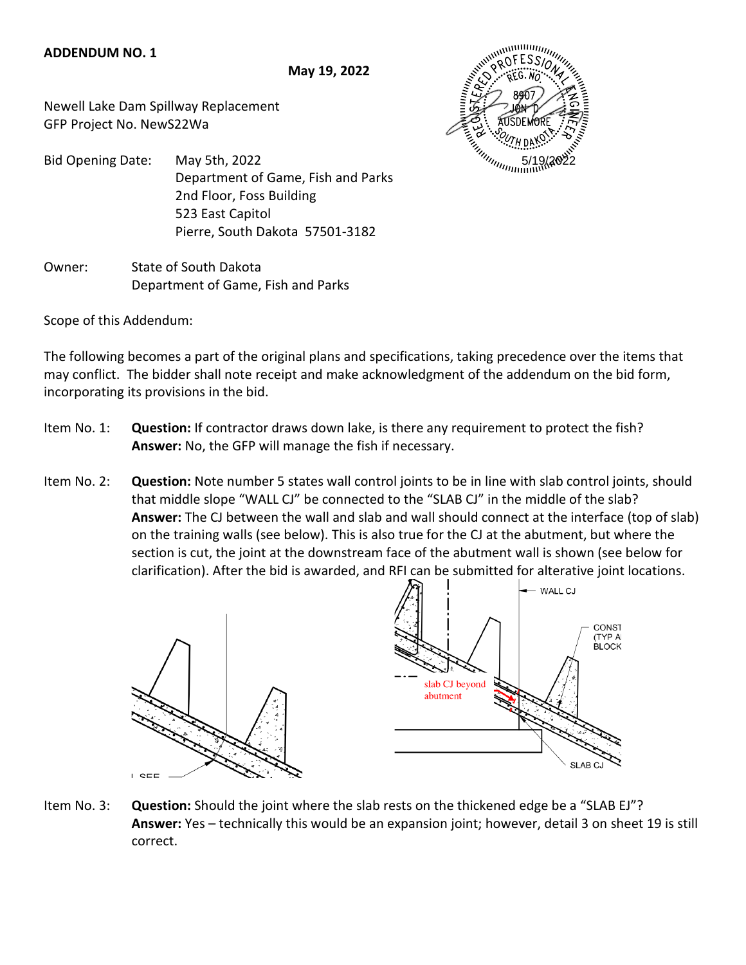## **ADDENDUM NO. 1**

**May 19, 2022**

Newell Lake Dam Spillway Replacement GFP Project No. NewS22Wa



Bid Opening Date: May 5th, 2022 Department of Game, Fish and Parks 2nd Floor, Foss Building 523 East Capitol Pierre, South Dakota 57501-3182

Owner: State of South Dakota Department of Game, Fish and Parks

Scope of this Addendum:

The following becomes a part of the original plans and specifications, taking precedence over the items that may conflict. The bidder shall note receipt and make acknowledgment of the addendum on the bid form, incorporating its provisions in the bid.

- Item No. 1: **Question:** If contractor draws down lake, is there any requirement to protect the fish? **Answer:** No, the GFP will manage the fish if necessary.
- Item No. 2: **Question:** Note number 5 states wall control joints to be in line with slab control joints, should that middle slope "WALL CJ" be connected to the "SLAB CJ" in the middle of the slab?  **Answer:** The CJ between the wall and slab and wall should connect at the interface (top of slab) on the training walls (see below). This is also true for the CJ at the abutment, but where the section is cut, the joint at the downstream face of the abutment wall is shown (see below for clarification). After the bid is awarded, and RFI can be submitted for alterative joint locations.



Item No. 3: **Question:** Should the joint where the slab rests on the thickened edge be a "SLAB EJ"? **Answer:** Yes – technically this would be an expansion joint; however, detail 3 on sheet 19 is still correct.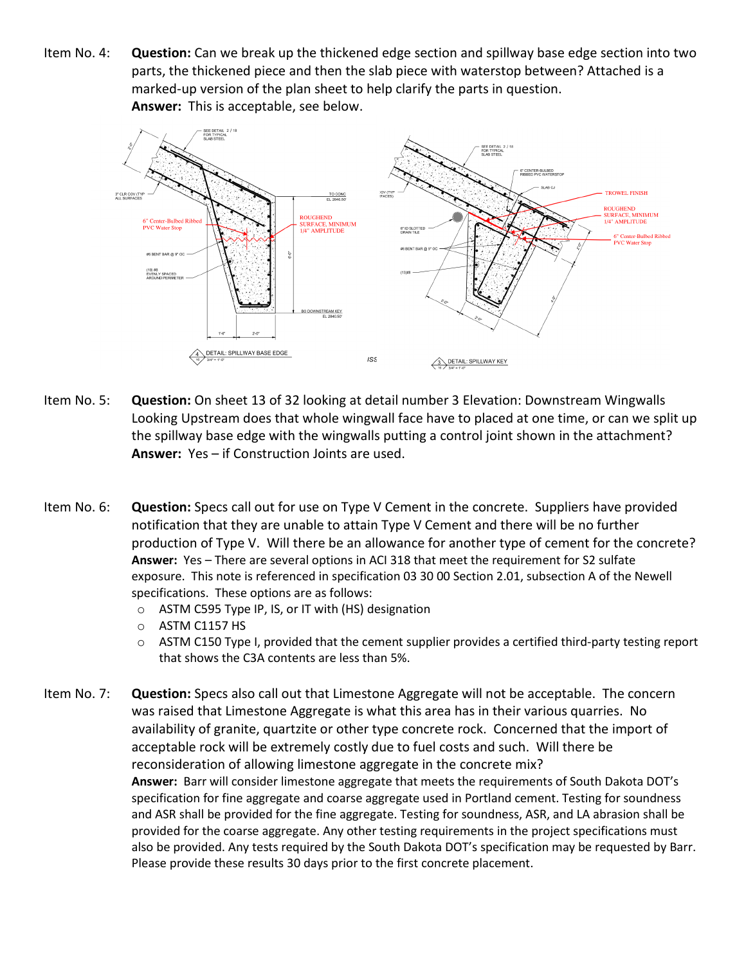Item No. 4: **Question:** Can we break up the thickened edge section and spillway base edge section into two parts, the thickened piece and then the slab piece with waterstop between? Attached is a marked-up version of the plan sheet to help clarify the parts in question. **Answer:** This is acceptable, see below.



- Item No. 5: **Question:** On sheet 13 of 32 looking at detail number 3 Elevation: Downstream Wingwalls Looking Upstream does that whole wingwall face have to placed at one time, or can we split up the spillway base edge with the wingwalls putting a control joint shown in the attachment? **Answer:** Yes – if Construction Joints are used.
- Item No. 6: **Question:** Specs call out for use on Type V Cement in the concrete. Suppliers have provided notification that they are unable to attain Type V Cement and there will be no further production of Type V. Will there be an allowance for another type of cement for the concrete? **Answer:** Yes – There are several options in ACI 318 that meet the requirement for S2 sulfate exposure. This note is referenced in specification 03 30 00 Section 2.01, subsection A of the Newell specifications. These options are as follows:
	- o ASTM C595 Type IP, IS, or IT with (HS) designation
	- o ASTM C1157 HS
	- o ASTM C150 Type I, provided that the cement supplier provides a certified third-party testing report that shows the C3A contents are less than 5%.
- Item No. 7: **Question:** Specs also call out that Limestone Aggregate will not be acceptable. The concern was raised that Limestone Aggregate is what this area has in their various quarries. No availability of granite, quartzite or other type concrete rock. Concerned that the import of acceptable rock will be extremely costly due to fuel costs and such. Will there be reconsideration of allowing limestone aggregate in the concrete mix? **Answer:** Barr will consider limestone aggregate that meets the requirements of South Dakota DOT's specification for fine aggregate and coarse aggregate used in Portland cement. Testing for soundness and ASR shall be provided for the fine aggregate. Testing for soundness, ASR, and LA abrasion shall be provided for the coarse aggregate. Any other testing requirements in the project specifications must also be provided. Any tests required by the South Dakota DOT's specification may be requested by Barr. Please provide these results 30 days prior to the first concrete placement.